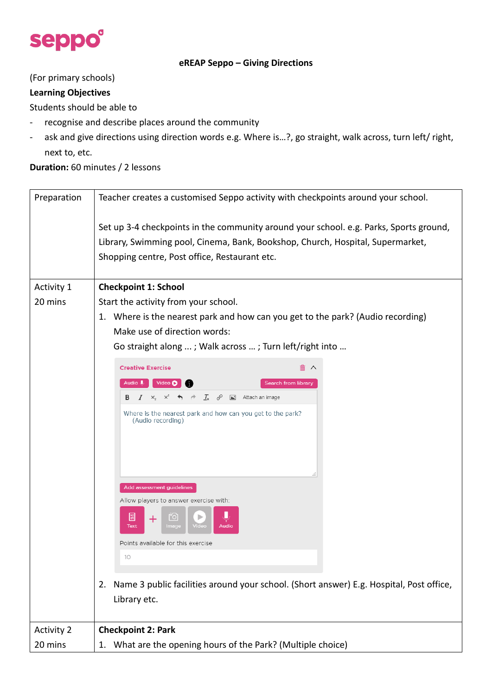

#### **eREAP Seppo – Giving Directions**

### (For primary schools)

### **Learning Objectives**

Students should be able to

- recognise and describe places around the community
- ask and give directions using direction words e.g. Where is…?, go straight, walk across, turn left/ right, next to, etc.

#### **Duration:** 60 minutes / 2 lessons

| Preparation       | Teacher creates a customised Seppo activity with checkpoints around your school.                                                                                                                                                                                                                                                                                                                                                                                                                                                                                                               |  |  |  |  |  |
|-------------------|------------------------------------------------------------------------------------------------------------------------------------------------------------------------------------------------------------------------------------------------------------------------------------------------------------------------------------------------------------------------------------------------------------------------------------------------------------------------------------------------------------------------------------------------------------------------------------------------|--|--|--|--|--|
|                   | Set up 3-4 checkpoints in the community around your school. e.g. Parks, Sports ground,<br>Library, Swimming pool, Cinema, Bank, Bookshop, Church, Hospital, Supermarket,<br>Shopping centre, Post office, Restaurant etc.                                                                                                                                                                                                                                                                                                                                                                      |  |  |  |  |  |
| Activity 1        | <b>Checkpoint 1: School</b>                                                                                                                                                                                                                                                                                                                                                                                                                                                                                                                                                                    |  |  |  |  |  |
| 20 mins           | Start the activity from your school.<br>1. Where is the nearest park and how can you get to the park? (Audio recording)<br>Make use of direction words:<br>Go straight along ; Walk across ; Turn left/right into                                                                                                                                                                                                                                                                                                                                                                              |  |  |  |  |  |
|                   | <b>Creative Exercise</b><br>Audio U<br>Video $\bullet$<br><b>Search from library</b><br>$I \times_{z}^z \times^z \leftrightarrow \rightarrow \mathcal{I}_x \quad \mathscr{E} \quad \blacksquare$ Attach an image<br>B<br>Where is the nearest park and how can you get to the park?<br>(Audio recording)<br>Add assessment guidelines<br>Allow players to answer exercise with:<br>圕<br>[6]<br>+<br>Text<br>Image<br><b>Audio</b><br>Points available for this exercise<br>10<br>Name 3 public facilities around your school. (Short answer) E.g. Hospital, Post office,<br>2.<br>Library etc. |  |  |  |  |  |
| <b>Activity 2</b> | <b>Checkpoint 2: Park</b>                                                                                                                                                                                                                                                                                                                                                                                                                                                                                                                                                                      |  |  |  |  |  |
| 20 mins           | 1. What are the opening hours of the Park? (Multiple choice)                                                                                                                                                                                                                                                                                                                                                                                                                                                                                                                                   |  |  |  |  |  |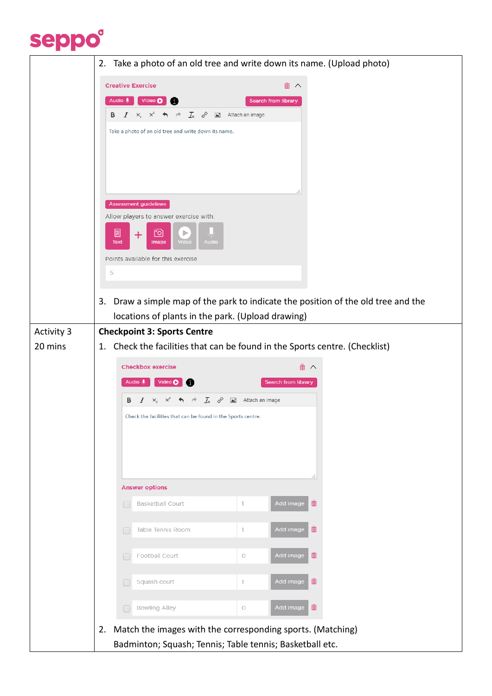

|                   | 2. Take a photo of an old tree and write down its name. (Upload photo)                                                                                                                                                                                                                                                                                                                                  |  |  |  |  |  |  |
|-------------------|---------------------------------------------------------------------------------------------------------------------------------------------------------------------------------------------------------------------------------------------------------------------------------------------------------------------------------------------------------------------------------------------------------|--|--|--|--|--|--|
|                   | 勔<br><b>Creative Exercise</b><br>$\wedge$<br>Audio U<br>Video O<br><b>Search from library</b><br>$I_{x}$ &<br>Attach an image<br>B<br>I<br>X,<br>$\times^2$<br>Take a photo of an old tree and write down its name.<br><b>Assessment guidelines</b><br>Allow players to answer exercise with:<br>FO]<br>圕<br>$\pm$<br>Audio<br><b>Text</b><br>Video<br>Image<br>Points available for this exercise<br>5 |  |  |  |  |  |  |
|                   | Draw a simple map of the park to indicate the position of the old tree and the<br>3.                                                                                                                                                                                                                                                                                                                    |  |  |  |  |  |  |
|                   | locations of plants in the park. (Upload drawing)                                                                                                                                                                                                                                                                                                                                                       |  |  |  |  |  |  |
| <b>Activity 3</b> | <b>Checkpoint 3: Sports Centre</b>                                                                                                                                                                                                                                                                                                                                                                      |  |  |  |  |  |  |
| 20 mins           | 1. Check the facilities that can be found in the Sports centre. (Checklist)                                                                                                                                                                                                                                                                                                                             |  |  |  |  |  |  |
|                   | <b>Checkbox exercise</b>                                                                                                                                                                                                                                                                                                                                                                                |  |  |  |  |  |  |
|                   | Audio U<br>Video O<br><b>Search from library</b>                                                                                                                                                                                                                                                                                                                                                        |  |  |  |  |  |  |
|                   | В<br>$I_x \propto \mathcal{P}$ $\blacksquare$ Attach an image<br>I<br>$X^c$<br>X,<br>$\rightarrow$                                                                                                                                                                                                                                                                                                      |  |  |  |  |  |  |
|                   | Check the facilities that can be found in the Sports centre.                                                                                                                                                                                                                                                                                                                                            |  |  |  |  |  |  |
|                   | <b>Answer options</b>                                                                                                                                                                                                                                                                                                                                                                                   |  |  |  |  |  |  |
|                   | 血<br>Add image<br>Basketball Court<br>1<br>г                                                                                                                                                                                                                                                                                                                                                            |  |  |  |  |  |  |
|                   | 血<br>Add image<br>Table Tennis Room<br>1<br>Г                                                                                                                                                                                                                                                                                                                                                           |  |  |  |  |  |  |
|                   |                                                                                                                                                                                                                                                                                                                                                                                                         |  |  |  |  |  |  |
|                   | 而<br>Add image<br>Football Court<br>$\bigcirc$<br>Г                                                                                                                                                                                                                                                                                                                                                     |  |  |  |  |  |  |
|                   | Add image<br>勔<br>Squash court<br>1<br>Г                                                                                                                                                                                                                                                                                                                                                                |  |  |  |  |  |  |
|                   | 血<br>Add image<br><b>Bowling Alley</b><br>$\bigcirc$<br>Г                                                                                                                                                                                                                                                                                                                                               |  |  |  |  |  |  |
|                   | Match the images with the corresponding sports. (Matching)<br>2.<br>Badminton; Squash; Tennis; Table tennis; Basketball etc.                                                                                                                                                                                                                                                                            |  |  |  |  |  |  |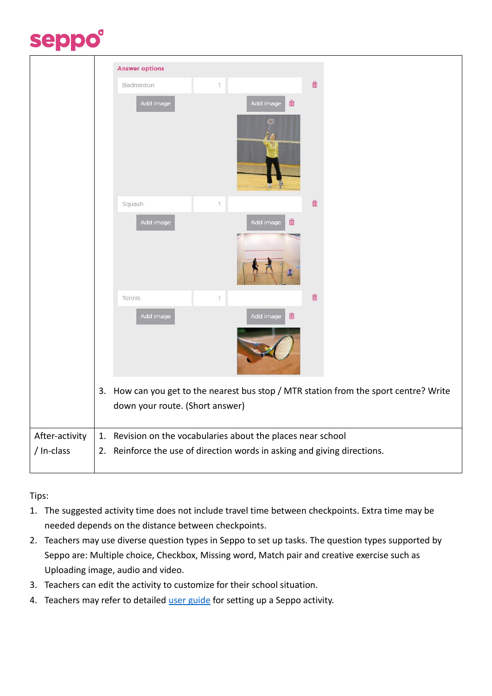## seppo®

|                | <b>Answer options</b> |                                                                       |                                                                                                                       |                        |                    |  |  |  |
|----------------|-----------------------|-----------------------------------------------------------------------|-----------------------------------------------------------------------------------------------------------------------|------------------------|--------------------|--|--|--|
|                |                       | Badminton                                                             | 1                                                                                                                     |                        | $\hat{\mathbb{m}}$ |  |  |  |
|                |                       | Add image                                                             |                                                                                                                       | 面<br>Add image         |                    |  |  |  |
|                |                       |                                                                       |                                                                                                                       |                        |                    |  |  |  |
|                |                       | Squash                                                                | 1                                                                                                                     |                        | $\hat{m}$          |  |  |  |
|                |                       | Add image                                                             |                                                                                                                       | Add image<br>侖         |                    |  |  |  |
|                |                       |                                                                       |                                                                                                                       |                        |                    |  |  |  |
|                |                       | Tennis                                                                | 1                                                                                                                     |                        | $\hat{\mathbb{m}}$ |  |  |  |
|                |                       | Add image                                                             |                                                                                                                       | $\hat{m}$<br>Add image |                    |  |  |  |
|                | 3.                    |                                                                       | How can you get to the nearest bus stop / MTR station from the sport centre? Write<br>down your route. (Short answer) |                        |                    |  |  |  |
| After-activity | 1.                    | Revision on the vocabularies about the places near school             |                                                                                                                       |                        |                    |  |  |  |
| / In-class     | 2.                    | Reinforce the use of direction words in asking and giving directions. |                                                                                                                       |                        |                    |  |  |  |

Tips:

- 1. The suggested activity time does not include travel time between checkpoints. Extra time may be needed depends on the distance between checkpoints.
- 2. Teachers may use diverse question types in Seppo to set up tasks. The question types supported by Seppo are: Multiple choice, Checkbox, Missing word, Match pair and creative exercise such as Uploading image, audio and video.
- 3. Teachers can edit the activity to customize for their school situation.
- 4. Teachers may refer to detailed [user guide](https://www.hkedcity.net/ereap/en/seppo#field-tab-tab-2) for setting up a Seppo activity.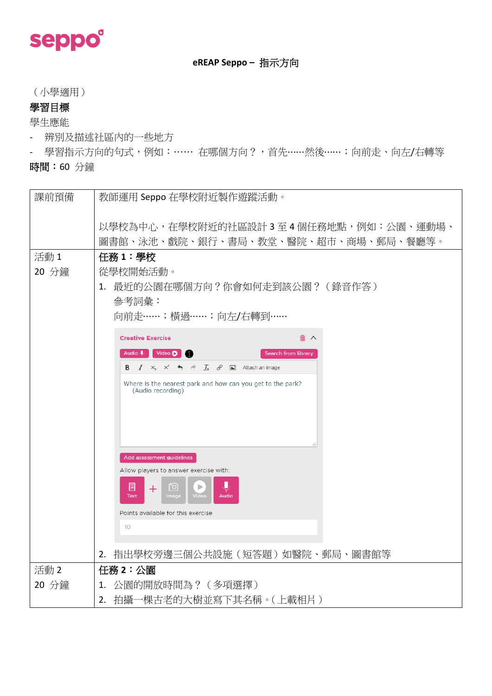

### **eREAP Seppo –** 指示方向

(小學適用)

### 學習目標

學生應能

- 辨別及描述社區內的一些地方
- 學習指示方向的句式,例如:…… 在哪個方向?,首先……然後……;向前走、向左/右轉等

時間:60 分鐘

| 課前預備          | 教師運用 Seppo 在學校附近製作遊蹤活動。                                                                       |  |  |  |  |  |
|---------------|-----------------------------------------------------------------------------------------------|--|--|--|--|--|
|               | 以學校為中心,在學校附近的社區設計3至4個任務地點,例如:公園、運動場、                                                          |  |  |  |  |  |
|               | 圖書館、泳池、戲院、銀行、書局、教堂、醫院、超市、商場、郵局、餐廳等。                                                           |  |  |  |  |  |
| 活動1           | 任務1:學校                                                                                        |  |  |  |  |  |
| 20 分鐘         | 從學校開始活動。                                                                                      |  |  |  |  |  |
|               | 1. 最近的公園在哪個方向?你會如何走到該公園?(錄音作答)                                                                |  |  |  |  |  |
|               | 參考詞彙:                                                                                         |  |  |  |  |  |
|               | 向前走……;横過……;向左/右轉到……                                                                           |  |  |  |  |  |
|               | <b>Creative Exercise</b><br>前 へ                                                               |  |  |  |  |  |
|               | Audio U<br>Video (Carl 1)<br>Search from library                                              |  |  |  |  |  |
|               | <b>B</b> $I \times_{z}^2 \times^2$ 4 $\rightarrow$ $I_x$ $e^Q$ $\blacksquare$ Attach an image |  |  |  |  |  |
|               | Where is the nearest park and how can you get to the park?<br>(Audio recording)               |  |  |  |  |  |
|               |                                                                                               |  |  |  |  |  |
|               |                                                                                               |  |  |  |  |  |
|               |                                                                                               |  |  |  |  |  |
|               | Add assessment guidelines                                                                     |  |  |  |  |  |
|               | Allow players to answer exercise with:                                                        |  |  |  |  |  |
|               | н<br>圖<br>$\lceil$ O<br>Þ<br>$\pm$<br>Video<br><b>Text</b><br>Image<br><b>Audio</b>           |  |  |  |  |  |
|               | Points available for this exercise                                                            |  |  |  |  |  |
|               | 10                                                                                            |  |  |  |  |  |
|               |                                                                                               |  |  |  |  |  |
|               | 指出學校旁邊三個公共設施(短答題)如醫院、郵局、圖書館等<br>2.                                                            |  |  |  |  |  |
| 活動 2<br>20 分鐘 | 任務2:公園<br>1. 公園的開放時間為? (多項選擇)                                                                 |  |  |  |  |  |
|               | 2. 拍攝一棵古老的大樹並寫下其名稱。(上載相片)                                                                     |  |  |  |  |  |
|               |                                                                                               |  |  |  |  |  |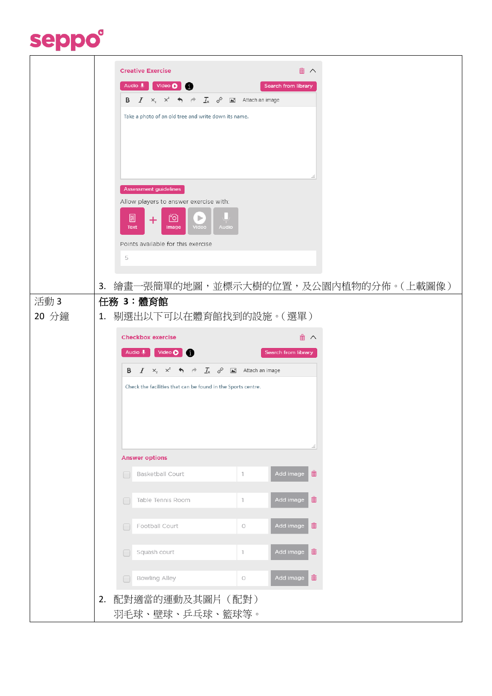# seppo®

|       | 而<br><b>Creative Exercise</b><br>$\wedge$                                                                                                                          |  |  |  |  |  |  |  |
|-------|--------------------------------------------------------------------------------------------------------------------------------------------------------------------|--|--|--|--|--|--|--|
|       | Video O<br>Audio U<br>Search from library<br>œ                                                                                                                     |  |  |  |  |  |  |  |
|       | $I_x \quad \mathscr{E} \quad \blacksquare$ Attach an image<br>$\mathbf{B}$ $I$ $\mathbf{x}$ , $\mathbf{x}^2$ $\mathbf{\Leftrightarrow}$ $\mathbf{\Leftrightarrow}$ |  |  |  |  |  |  |  |
|       | Take a photo of an old tree and write down its name.                                                                                                               |  |  |  |  |  |  |  |
|       |                                                                                                                                                                    |  |  |  |  |  |  |  |
|       |                                                                                                                                                                    |  |  |  |  |  |  |  |
|       |                                                                                                                                                                    |  |  |  |  |  |  |  |
|       | Assessment guidelines                                                                                                                                              |  |  |  |  |  |  |  |
|       | Allow players to answer exercise with:                                                                                                                             |  |  |  |  |  |  |  |
|       | 圓<br>්ම<br>▶<br>$\pm$<br>Video<br>Text<br>Image<br><b>Audio</b>                                                                                                    |  |  |  |  |  |  |  |
|       | Points available for this exercise                                                                                                                                 |  |  |  |  |  |  |  |
|       | 5                                                                                                                                                                  |  |  |  |  |  |  |  |
|       | 繪畫一張簡單的地圖,並標示大樹的位置,及公園內植物的分佈。(上載圖像)<br>3.                                                                                                                          |  |  |  |  |  |  |  |
| 活動3   | 任務 3:體育館                                                                                                                                                           |  |  |  |  |  |  |  |
| 20 分鐘 | 1. 剔選出以下可以在體育館找到的設施。(選單)                                                                                                                                           |  |  |  |  |  |  |  |
|       | <b>Checkbox exercise</b><br>而<br>$\wedge$                                                                                                                          |  |  |  |  |  |  |  |
|       | Audio U<br>Video O<br>Search from library                                                                                                                          |  |  |  |  |  |  |  |
|       | <b>B</b> $I \times_{z}^2 \times^2$ $\leftrightarrow$ $\rightarrow$ $I_x$ $\circledcirc$ $\blacksquare$ Attach an image                                             |  |  |  |  |  |  |  |
|       | Check the facilities that can be found in the Sports centre.                                                                                                       |  |  |  |  |  |  |  |
|       |                                                                                                                                                                    |  |  |  |  |  |  |  |
|       |                                                                                                                                                                    |  |  |  |  |  |  |  |
|       |                                                                                                                                                                    |  |  |  |  |  |  |  |
|       | <b>Answer options</b>                                                                                                                                              |  |  |  |  |  |  |  |
|       | 命<br>Add image<br>Basketball Court<br>$\mathbb{I}$<br>$\Box$                                                                                                       |  |  |  |  |  |  |  |
|       |                                                                                                                                                                    |  |  |  |  |  |  |  |
|       | 而<br>Add image<br>Table Tennis Room<br>$\mathbb{1}$<br>C                                                                                                           |  |  |  |  |  |  |  |
|       | 而<br>Add image<br>Football Court<br>$\bigcirc$<br>$\Box$                                                                                                           |  |  |  |  |  |  |  |
|       |                                                                                                                                                                    |  |  |  |  |  |  |  |
|       | 孟<br>Squash court<br>Add image<br>$\ensuremath{\mathsf{T}}$<br>□                                                                                                   |  |  |  |  |  |  |  |
|       | Add image <b>in</b><br><b>Bowling Alley</b><br>$\bigcirc$<br>r                                                                                                     |  |  |  |  |  |  |  |
|       | 配對適當的運動及其圖片 (配對)<br>2.                                                                                                                                             |  |  |  |  |  |  |  |
|       | 羽毛球、壁球、乒乓球、籃球等。                                                                                                                                                    |  |  |  |  |  |  |  |